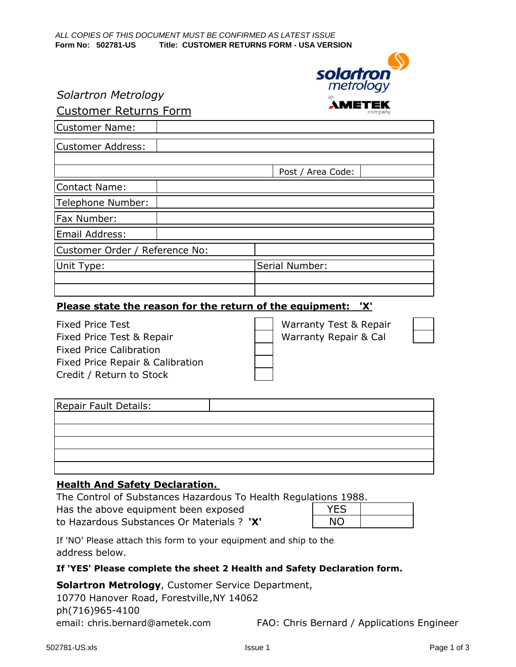

#### Solartron Metrology

### Customer Returns Form

| <b>Customer Name:</b>          |  |                   |  |
|--------------------------------|--|-------------------|--|
| <b>Customer Address:</b>       |  |                   |  |
|                                |  |                   |  |
|                                |  | Post / Area Code: |  |
| <b>Contact Name:</b>           |  |                   |  |
| Telephone Number:              |  |                   |  |
| Fax Number:                    |  |                   |  |
| Email Address:                 |  |                   |  |
| Customer Order / Reference No: |  |                   |  |
| Unit Type:                     |  | Serial Number:    |  |
|                                |  |                   |  |
|                                |  |                   |  |

#### Please state the reason for the return of the equipment: 'X'

Fixed Price Test Warranty Test & Repair Fixed Price Test & Repair Marranty Repair & Cal Fixed Price Calibration Fixed Price Repair & Calibration Credit / Return to Stock



| Repair Fault Details: |  |
|-----------------------|--|
|                       |  |
|                       |  |
|                       |  |
|                       |  |
|                       |  |

#### Health And Safety Declaration.

The Control of Substances Hazardous To Health Regulations 1988.

| Has the above equipment been exposed       | <b>YES</b> |
|--------------------------------------------|------------|
| to Hazardous Substances Or Materials ? 'X' | <b>NO</b>  |

If 'NO' Please attach this form to your equipment and ship to the address below.

#### If 'YES' Please complete the sheet 2 Health and Safety Declaration form.

Solartron Metrology, Customer Service Department,

10770 Hanover Road, Forestville,NY 14062 ph(716)965-4100 email: chris.bernard@ametek.com FAO: Chris Bernard / Applications Engineer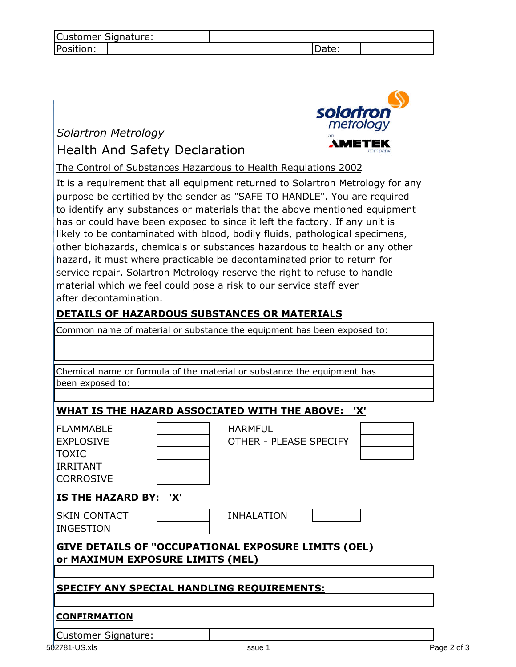| Customer Signature: |  |       |  |
|---------------------|--|-------|--|
| Position:           |  | Date: |  |

# Solartron Metrology Health And Safety Declaration



The Control of Substances Hazardous to Health Regulations 2002

It is a requirement that all equipment returned to Solartron Metrology for any purpose be certified by the sender as "SAFE TO HANDLE". You are required to identify any substances or materials that the above mentioned equipment has or could have been exposed to since it left the factory. If any unit is likely to be contaminated with blood, bodily fluids, pathological specimens, other biohazards, chemicals or substances hazardous to health or any other hazard, it must where practicable be decontaminated prior to return for service repair. Solartron Metrology reserve the right to refuse to handle material which we feel could pose a risk to our service staff even after decontamination.

## DETAILS OF HAZARDOUS SUBSTANCES OR MATERIALS

Common name of material or substance the equipment has been exposed to:

| Chemical name or formula of the material or substance the equipment has                     |  |                                          |  |  |
|---------------------------------------------------------------------------------------------|--|------------------------------------------|--|--|
| been exposed to:                                                                            |  |                                          |  |  |
|                                                                                             |  |                                          |  |  |
| WHAT IS THE HAZARD ASSOCIATED WITH THE ABOVE: 'X'                                           |  |                                          |  |  |
| <b>FLAMMABLE</b><br><b>EXPLOSIVE</b><br><b>TOXIC</b><br><b>IRRITANT</b><br><b>CORROSIVE</b> |  | <b>HARMFUL</b><br>OTHER - PLEASE SPECIFY |  |  |
| <b>IS THE HAZARD BY: 'X'</b>                                                                |  |                                          |  |  |
| <b>SKIN CONTACT</b><br><b>INGESTION</b>                                                     |  | <b>INHALATION</b>                        |  |  |
| GIVE DETAILS OF "OCCUPATIONAL EXPOSURE LIMITS (OEL)<br>or MAXIMUM EXPOSURE LIMITS (MEL)     |  |                                          |  |  |
| <b>SPECIFY ANY SPECIAL HANDLING REQUIREMENTS:</b>                                           |  |                                          |  |  |
| <b>CONFIRMATION</b>                                                                         |  |                                          |  |  |
| <b>Customer Signature:</b>                                                                  |  |                                          |  |  |